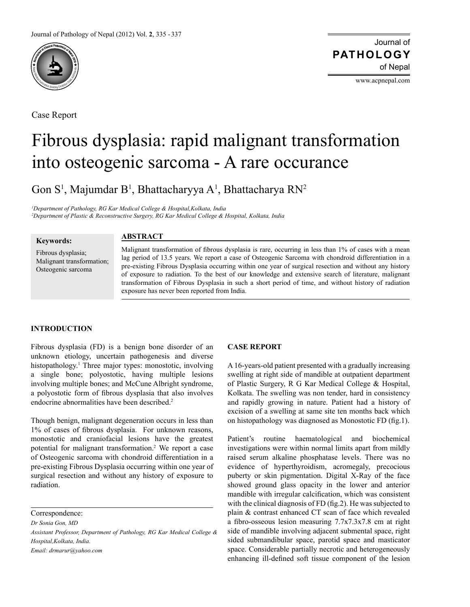

Case Report

Journal of of Nepal **PATHOLOGY**

www.acpnepal.com

# Fibrous dysplasia: rapid malignant transformation into osteogenic sarcoma - A rare occurance

Gon S<sup>1</sup>, Majumdar B<sup>1</sup>, Bhattacharyya A<sup>1</sup>, Bhattacharya RN<sup>2</sup>

*1 Department of Pathology, RG Kar Medical College & Hospital,Kolkata, India 2 Department of Plastic & Reconstructive Surgery, RG Kar Medical College & Hospital, Kolkata, India*

Fibrous dysplasia; Malignant transformation; Osteogenic sarcoma

**Keywords:**

## **ABSTRACT**

Malignant transformation of fibrous dysplasia is rare, occurring in less than 1% of cases with a mean lag period of 13.5 years. We report a case of Osteogenic Sarcoma with chondroid differentiation in a pre-existing Fibrous Dysplasia occurring within one year of surgical resection and without any history of exposure to radiation. To the best of our knowledge and extensive search of literature, malignant transformation of Fibrous Dysplasia in such a short period of time, and without history of radiation exposure has never been reported from India.

## **INTRODUCTION**

Fibrous dysplasia (FD) is a benign bone disorder of an unknown etiology, uncertain pathogenesis and diverse histopathology.<sup>1</sup> Three major types: monostotic, involving a single bone; polyostotic, having multiple lesions involving multiple bones; and McCune Albright syndrome, a polyostotic form of fibrous dysplasia that also involves endocrine abnormalities have been described.2

Though benign, malignant degeneration occurs in less than 1% of cases of fibrous dysplasia. For unknown reasons, monostotic and craniofacial lesions have the greatest potential for malignant transformation.2 We report a case of Osteogenic sarcoma with chondroid differentiation in a pre-existing Fibrous Dysplasia occurring within one year of surgical resection and without any history of exposure to radiation.

Correspondence:

*Dr Sonia Gon, MD*

*Assistant Professor, Department of Pathology, RG Kar Medical College & Hospital,Kolkata, India.*

*Email: drmarur@yahoo.com*

## **CASE REPORT**

A 16-years-old patient presented with a gradually increasing swelling at right side of mandible at outpatient department of Plastic Surgery, R G Kar Medical College & Hospital, Kolkata. The swelling was non tender, hard in consistency and rapidly growing in nature. Patient had a history of excision of a swelling at same site ten months back which on histopathology was diagnosed as Monostotic FD (fig.1).

Patient's routine haematological and biochemical investigations were within normal limits apart from mildly raised serum alkaline phosphatase levels. There was no evidence of hyperthyroidism, acromegaly, precocious puberty or skin pigmentation. Digital X-Ray of the face showed ground glass opacity in the lower and anterior mandible with irregular calcification, which was consistent with the clinical diagnosis of FD (fig.2). He was subjected to plain & contrast enhanced CT scan of face which revealed a fibro-osseous lesion measuring 7.7x7.3x7.8 cm at right side of mandible involving adjacent submental space, right sided submandibular space, parotid space and masticator space. Considerable partially necrotic and heterogeneously enhancing ill-defined soft tissue component of the lesion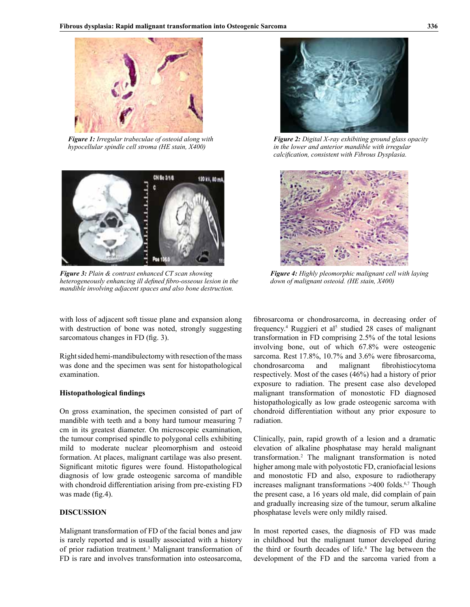

*Figure 1: Irregular trabeculae of osteoid along with hypocellular spindle cell stroma (HE stain, X400)*



*Figure 3: Plain & contrast enhanced CT scan showing heterogeneously enhancing ill defined fibro-osseous lesion in the mandible involving adjacent spaces and also bone destruction.*

with loss of adjacent soft tissue plane and expansion along with destruction of bone was noted, strongly suggesting sarcomatous changes in FD (fig. 3).

Right sided hemi-mandibulectomy with resection of the mass was done and the specimen was sent for histopathological examination.

#### **Histopathological findings**

On gross examination, the specimen consisted of part of mandible with teeth and a bony hard tumour measuring 7 cm in its greatest diameter. On microscopic examination, the tumour comprised spindle to polygonal cells exhibiting mild to moderate nuclear pleomorphism and osteoid formation. At places, malignant cartilage was also present. Significant mitotic figures were found. Histopathological diagnosis of low grade osteogenic sarcoma of mandible with chondroid differentiation arising from pre-existing FD was made (fig.4).

#### **DISCUSSION**

Malignant transformation of FD of the facial bones and jaw is rarely reported and is usually associated with a history of prior radiation treatment.<sup>3</sup> Malignant transformation of FD is rare and involves transformation into osteosarcoma,



*Figure 2: Digital X-ray exhibiting ground glass opacity in the lower and anterior mandible with irregular calcification, consistent with Fibrous Dysplasia.*



*Figure 4: Highly pleomorphic malignant cell with laying down of malignant osteoid. (HE stain, X400)*

fibrosarcoma or chondrosarcoma, in decreasing order of frequency.<sup>4</sup> Ruggieri et al<sup>5</sup> studied 28 cases of malignant transformation in FD comprising 2.5% of the total lesions involving bone, out of which 67.8% were osteogenic sarcoma. Rest 17.8%, 10.7% and 3.6% were fibrosarcoma, chondrosarcoma and malignant fibrohistiocytoma respectively. Most of the cases (46%) had a history of prior exposure to radiation. The present case also developed malignant transformation of monostotic FD diagnosed histopathologically as low grade osteogenic sarcoma with chondroid differentiation without any prior exposure to radiation.

Clinically, pain, rapid growth of a lesion and a dramatic elevation of alkaline phosphatase may herald malignant transformation.2 The malignant transformation is noted higher among male with polyostotic FD, craniofacial lesions and monostotic FD and also, exposure to radiotherapy increases malignant transformations  $>400$  folds.<sup>6,7</sup> Though the present case, a 16 years old male, did complain of pain and gradually increasing size of the tumour, serum alkaline phosphatase levels were only mildly raised.

In most reported cases, the diagnosis of FD was made in childhood but the malignant tumor developed during the third or fourth decades of life.8 The lag between the development of the FD and the sarcoma varied from a